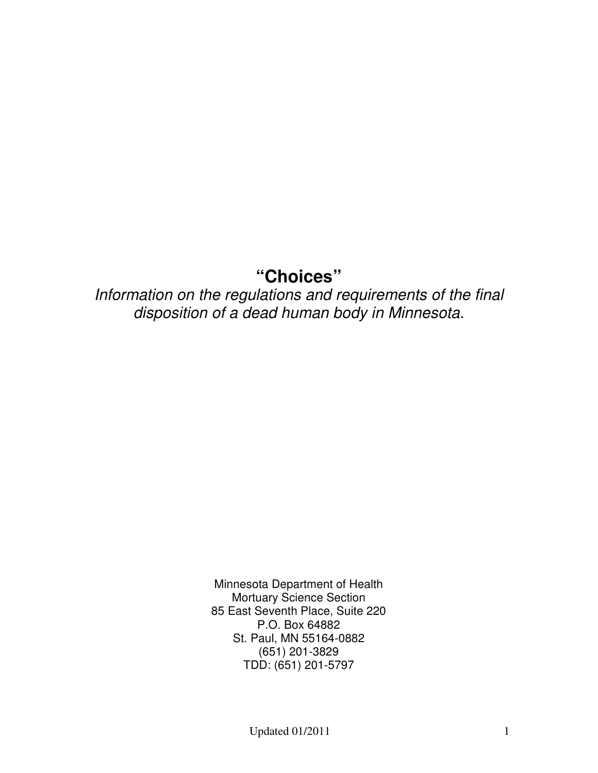# **"Choices"**

## Information on the regulations and requirements of the final disposition of a dead human body in Minnesota.

Minnesota Department of Health Mortuary Science Section 85 East Seventh Place, Suite 220 P.O. Box 64882 St. Paul, MN 55164-0882 (651) 201-3829 TDD: (651) 201-5797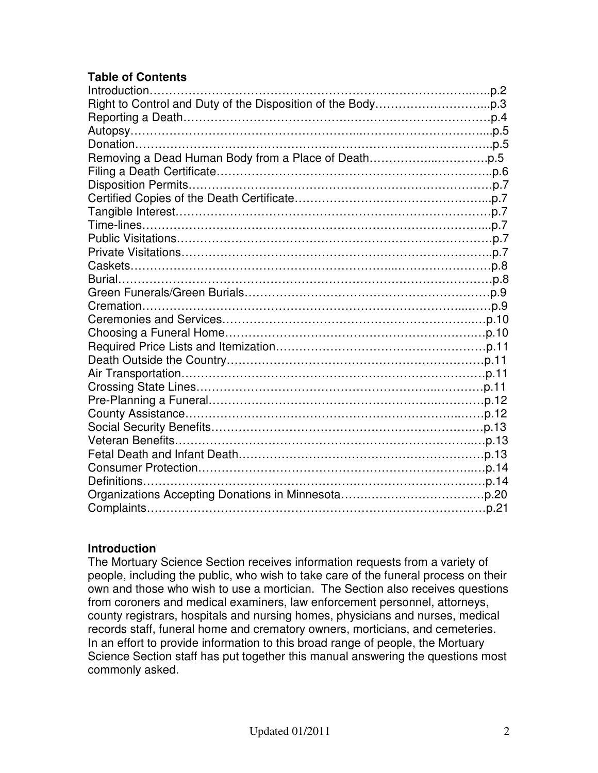## **Table of Contents**

| Introduction |  |
|--------------|--|
|              |  |
|              |  |
|              |  |
|              |  |
|              |  |
|              |  |
|              |  |
|              |  |
|              |  |
|              |  |
|              |  |
|              |  |
|              |  |
|              |  |
|              |  |
|              |  |
|              |  |
|              |  |
|              |  |
|              |  |
|              |  |
|              |  |
|              |  |
|              |  |
|              |  |
|              |  |
|              |  |
|              |  |
|              |  |
|              |  |
|              |  |

#### **Introduction**

The Mortuary Science Section receives information requests from a variety of people, including the public, who wish to take care of the funeral process on their own and those who wish to use a mortician. The Section also receives questions from coroners and medical examiners, law enforcement personnel, attorneys, county registrars, hospitals and nursing homes, physicians and nurses, medical records staff, funeral home and crematory owners, morticians, and cemeteries. In an effort to provide information to this broad range of people, the Mortuary Science Section staff has put together this manual answering the questions most commonly asked.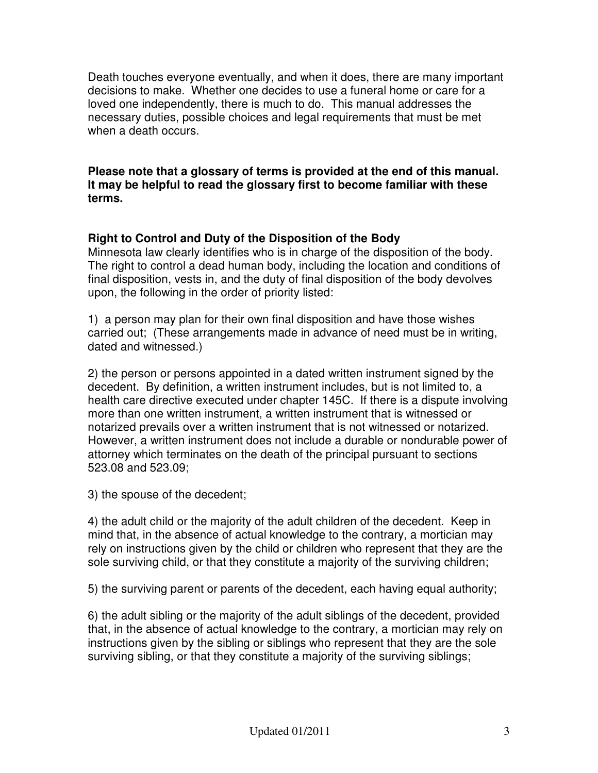Death touches everyone eventually, and when it does, there are many important decisions to make. Whether one decides to use a funeral home or care for a loved one independently, there is much to do. This manual addresses the necessary duties, possible choices and legal requirements that must be met when a death occurs.

**Please note that a glossary of terms is provided at the end of this manual. It may be helpful to read the glossary first to become familiar with these terms.** 

#### **Right to Control and Duty of the Disposition of the Body**

Minnesota law clearly identifies who is in charge of the disposition of the body. The right to control a dead human body, including the location and conditions of final disposition, vests in, and the duty of final disposition of the body devolves upon, the following in the order of priority listed:

1) a person may plan for their own final disposition and have those wishes carried out; (These arrangements made in advance of need must be in writing, dated and witnessed.)

2) the person or persons appointed in a dated written instrument signed by the decedent. By definition, a written instrument includes, but is not limited to, a health care directive executed under chapter 145C. If there is a dispute involving more than one written instrument, a written instrument that is witnessed or notarized prevails over a written instrument that is not witnessed or notarized. However, a written instrument does not include a durable or nondurable power of attorney which terminates on the death of the principal pursuant to sections 523.08 and 523.09;

3) the spouse of the decedent;

4) the adult child or the majority of the adult children of the decedent. Keep in mind that, in the absence of actual knowledge to the contrary, a mortician may rely on instructions given by the child or children who represent that they are the sole surviving child, or that they constitute a majority of the surviving children;

5) the surviving parent or parents of the decedent, each having equal authority;

6) the adult sibling or the majority of the adult siblings of the decedent, provided that, in the absence of actual knowledge to the contrary, a mortician may rely on instructions given by the sibling or siblings who represent that they are the sole surviving sibling, or that they constitute a majority of the surviving siblings;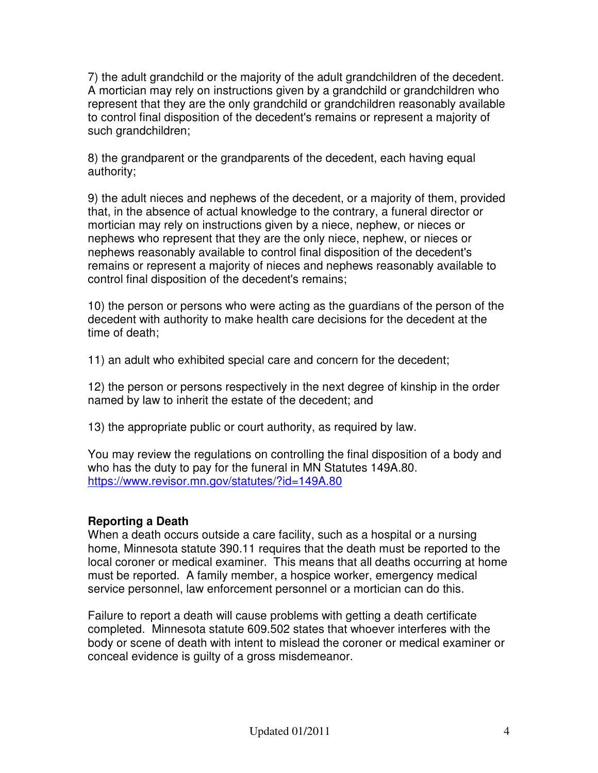7) the adult grandchild or the majority of the adult grandchildren of the decedent. A mortician may rely on instructions given by a grandchild or grandchildren who represent that they are the only grandchild or grandchildren reasonably available to control final disposition of the decedent's remains or represent a majority of such grandchildren;

8) the grandparent or the grandparents of the decedent, each having equal authority;

9) the adult nieces and nephews of the decedent, or a majority of them, provided that, in the absence of actual knowledge to the contrary, a funeral director or mortician may rely on instructions given by a niece, nephew, or nieces or nephews who represent that they are the only niece, nephew, or nieces or nephews reasonably available to control final disposition of the decedent's remains or represent a majority of nieces and nephews reasonably available to control final disposition of the decedent's remains;

10) the person or persons who were acting as the guardians of the person of the decedent with authority to make health care decisions for the decedent at the time of death;

11) an adult who exhibited special care and concern for the decedent;

12) the person or persons respectively in the next degree of kinship in the order named by law to inherit the estate of the decedent; and

13) the appropriate public or court authority, as required by law.

You may review the regulations on controlling the final disposition of a body and who has the duty to pay for the funeral in MN Statutes 149A.80. https://www.revisor.mn.gov/statutes/?id=149A.80

## **Reporting a Death**

When a death occurs outside a care facility, such as a hospital or a nursing home, Minnesota statute 390.11 requires that the death must be reported to the local coroner or medical examiner. This means that all deaths occurring at home must be reported. A family member, a hospice worker, emergency medical service personnel, law enforcement personnel or a mortician can do this.

Failure to report a death will cause problems with getting a death certificate completed. Minnesota statute 609.502 states that whoever interferes with the body or scene of death with intent to mislead the coroner or medical examiner or conceal evidence is guilty of a gross misdemeanor.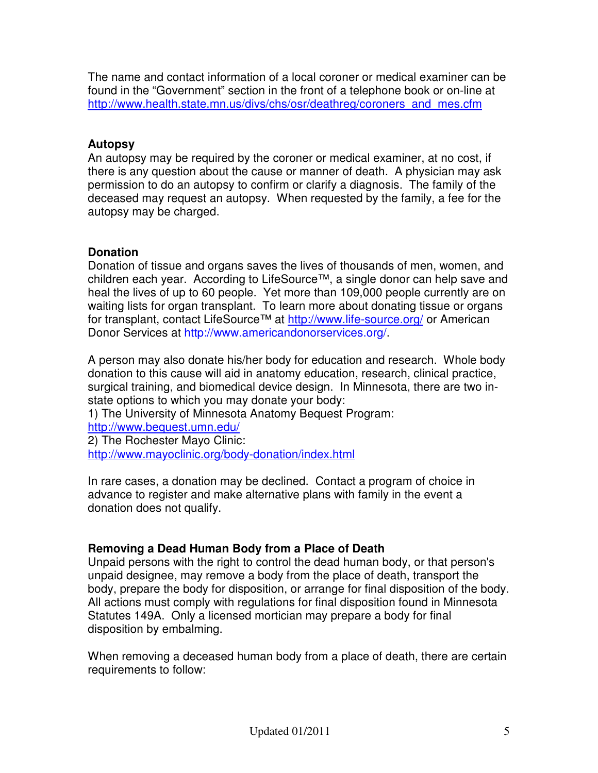The name and contact information of a local coroner or medical examiner can be found in the "Government" section in the front of a telephone book or on-line at http://www.health.state.mn.us/divs/chs/osr/deathreg/coroners\_and\_mes.cfm

## **Autopsy**

An autopsy may be required by the coroner or medical examiner, at no cost, if there is any question about the cause or manner of death. A physician may ask permission to do an autopsy to confirm or clarify a diagnosis. The family of the deceased may request an autopsy. When requested by the family, a fee for the autopsy may be charged.

## **Donation**

Donation of tissue and organs saves the lives of thousands of men, women, and children each year. According to LifeSource™, a single donor can help save and heal the lives of up to 60 people. Yet more than 109,000 people currently are on waiting lists for organ transplant. To learn more about donating tissue or organs for transplant, contact LifeSource™ at http://www.life-source.org/ or American Donor Services at http://www.americandonorservices.org/.

A person may also donate his/her body for education and research. Whole body donation to this cause will aid in anatomy education, research, clinical practice, surgical training, and biomedical device design. In Minnesota, there are two instate options to which you may donate your body:

1) The University of Minnesota Anatomy Bequest Program: http://www.bequest.umn.edu/

2) The Rochester Mayo Clinic: http://www.mayoclinic.org/body-donation/index.html

In rare cases, a donation may be declined. Contact a program of choice in advance to register and make alternative plans with family in the event a donation does not qualify.

## **Removing a Dead Human Body from a Place of Death**

Unpaid persons with the right to control the dead human body, or that person's unpaid designee, may remove a body from the place of death, transport the body, prepare the body for disposition, or arrange for final disposition of the body. All actions must comply with regulations for final disposition found in Minnesota Statutes 149A. Only a licensed mortician may prepare a body for final disposition by embalming.

When removing a deceased human body from a place of death, there are certain requirements to follow: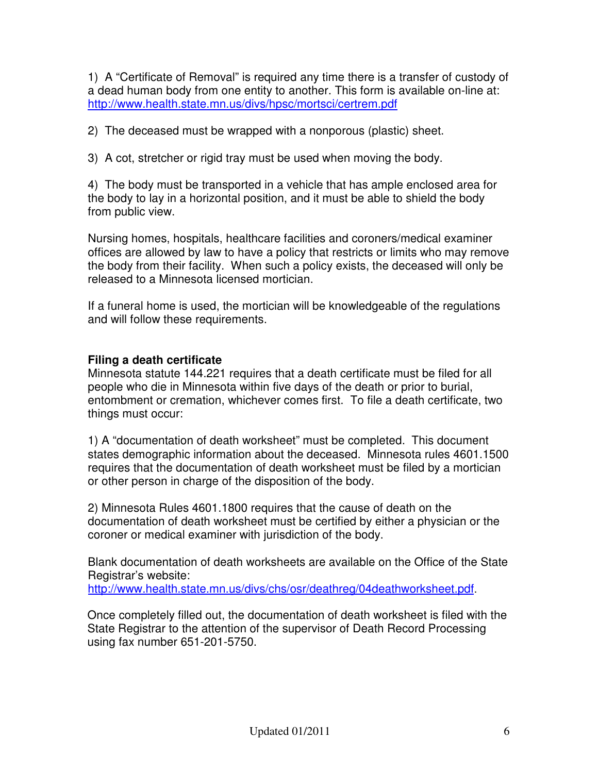1) A "Certificate of Removal" is required any time there is a transfer of custody of a dead human body from one entity to another. This form is available on-line at: http://www.health.state.mn.us/divs/hpsc/mortsci/certrem.pdf

2) The deceased must be wrapped with a nonporous (plastic) sheet.

3) A cot, stretcher or rigid tray must be used when moving the body.

4) The body must be transported in a vehicle that has ample enclosed area for the body to lay in a horizontal position, and it must be able to shield the body from public view.

Nursing homes, hospitals, healthcare facilities and coroners/medical examiner offices are allowed by law to have a policy that restricts or limits who may remove the body from their facility. When such a policy exists, the deceased will only be released to a Minnesota licensed mortician.

If a funeral home is used, the mortician will be knowledgeable of the regulations and will follow these requirements.

## **Filing a death certificate**

Minnesota statute 144.221 requires that a death certificate must be filed for all people who die in Minnesota within five days of the death or prior to burial, entombment or cremation, whichever comes first. To file a death certificate, two things must occur:

1) A "documentation of death worksheet" must be completed. This document states demographic information about the deceased. Minnesota rules 4601.1500 requires that the documentation of death worksheet must be filed by a mortician or other person in charge of the disposition of the body.

2) Minnesota Rules 4601.1800 requires that the cause of death on the documentation of death worksheet must be certified by either a physician or the coroner or medical examiner with jurisdiction of the body.

Blank documentation of death worksheets are available on the Office of the State Registrar's website:

http://www.health.state.mn.us/divs/chs/osr/deathreg/04deathworksheet.pdf.

Once completely filled out, the documentation of death worksheet is filed with the State Registrar to the attention of the supervisor of Death Record Processing using fax number 651-201-5750.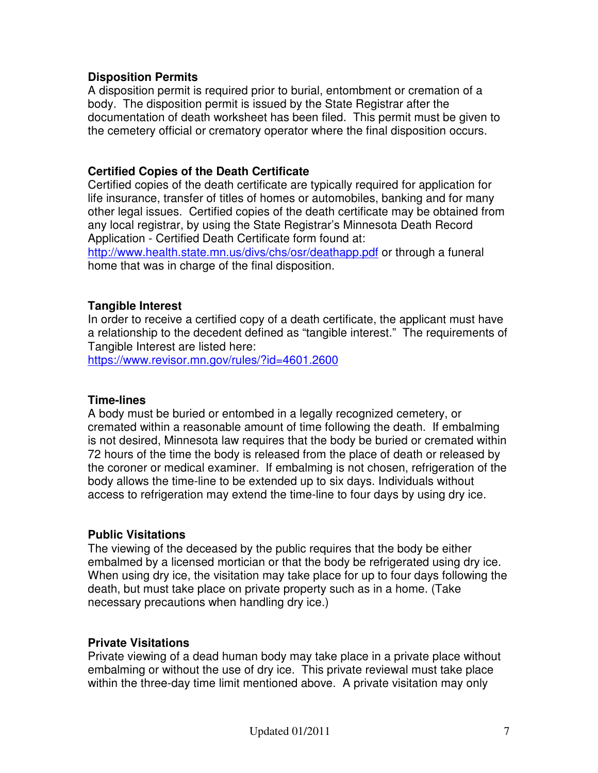#### **Disposition Permits**

A disposition permit is required prior to burial, entombment or cremation of a body. The disposition permit is issued by the State Registrar after the documentation of death worksheet has been filed. This permit must be given to the cemetery official or crematory operator where the final disposition occurs.

#### **Certified Copies of the Death Certificate**

Certified copies of the death certificate are typically required for application for life insurance, transfer of titles of homes or automobiles, banking and for many other legal issues. Certified copies of the death certificate may be obtained from any local registrar, by using the State Registrar's Minnesota Death Record Application - Certified Death Certificate form found at:

http://www.health.state.mn.us/divs/chs/osr/deathapp.pdf or through a funeral home that was in charge of the final disposition.

#### **Tangible Interest**

In order to receive a certified copy of a death certificate, the applicant must have a relationship to the decedent defined as "tangible interest." The requirements of Tangible Interest are listed here:

https://www.revisor.mn.gov/rules/?id=4601.2600

#### **Time-lines**

A body must be buried or entombed in a legally recognized cemetery, or cremated within a reasonable amount of time following the death. If embalming is not desired, Minnesota law requires that the body be buried or cremated within 72 hours of the time the body is released from the place of death or released by the coroner or medical examiner. If embalming is not chosen, refrigeration of the body allows the time-line to be extended up to six days. Individuals without access to refrigeration may extend the time-line to four days by using dry ice.

#### **Public Visitations**

The viewing of the deceased by the public requires that the body be either embalmed by a licensed mortician or that the body be refrigerated using dry ice. When using dry ice, the visitation may take place for up to four days following the death, but must take place on private property such as in a home. (Take necessary precautions when handling dry ice.)

#### **Private Visitations**

Private viewing of a dead human body may take place in a private place without embalming or without the use of dry ice. This private reviewal must take place within the three-day time limit mentioned above. A private visitation may only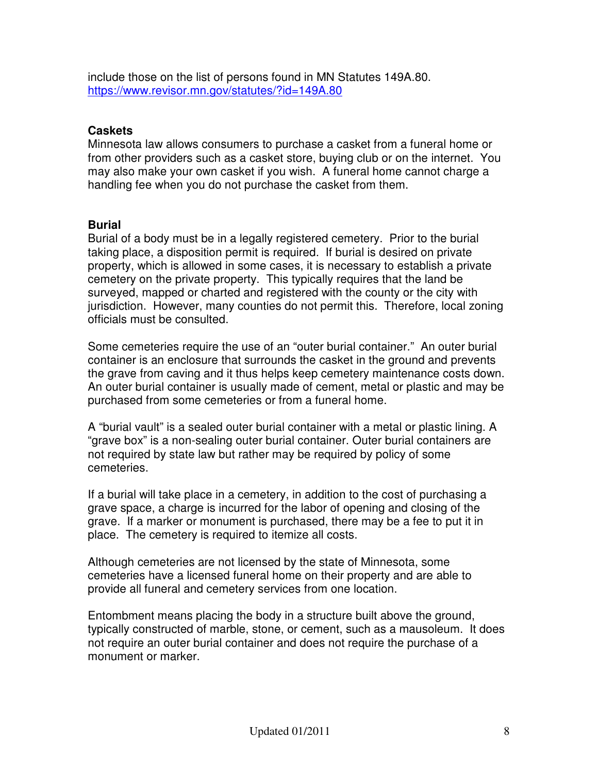include those on the list of persons found in MN Statutes 149A.80. https://www.revisor.mn.gov/statutes/?id=149A.80

#### **Caskets**

Minnesota law allows consumers to purchase a casket from a funeral home or from other providers such as a casket store, buying club or on the internet. You may also make your own casket if you wish. A funeral home cannot charge a handling fee when you do not purchase the casket from them.

#### **Burial**

Burial of a body must be in a legally registered cemetery. Prior to the burial taking place, a disposition permit is required. If burial is desired on private property, which is allowed in some cases, it is necessary to establish a private cemetery on the private property. This typically requires that the land be surveyed, mapped or charted and registered with the county or the city with jurisdiction. However, many counties do not permit this. Therefore, local zoning officials must be consulted.

Some cemeteries require the use of an "outer burial container." An outer burial container is an enclosure that surrounds the casket in the ground and prevents the grave from caving and it thus helps keep cemetery maintenance costs down. An outer burial container is usually made of cement, metal or plastic and may be purchased from some cemeteries or from a funeral home.

A "burial vault" is a sealed outer burial container with a metal or plastic lining. A "grave box" is a non-sealing outer burial container. Outer burial containers are not required by state law but rather may be required by policy of some cemeteries.

If a burial will take place in a cemetery, in addition to the cost of purchasing a grave space, a charge is incurred for the labor of opening and closing of the grave. If a marker or monument is purchased, there may be a fee to put it in place. The cemetery is required to itemize all costs.

Although cemeteries are not licensed by the state of Minnesota, some cemeteries have a licensed funeral home on their property and are able to provide all funeral and cemetery services from one location.

Entombment means placing the body in a structure built above the ground, typically constructed of marble, stone, or cement, such as a mausoleum. It does not require an outer burial container and does not require the purchase of a monument or marker.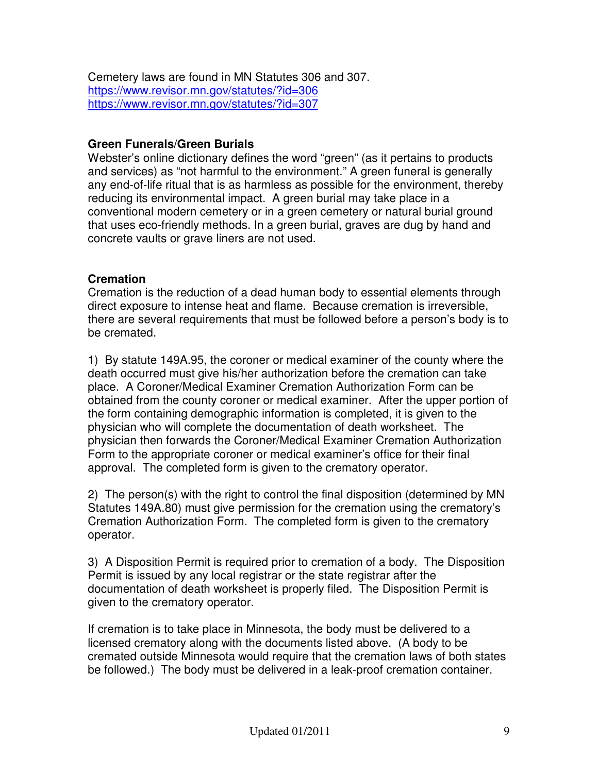Cemetery laws are found in MN Statutes 306 and 307. https://www.revisor.mn.gov/statutes/?id=306 https://www.revisor.mn.gov/statutes/?id=307

#### **Green Funerals/Green Burials**

Webster's online dictionary defines the word "green" (as it pertains to products and services) as "not harmful to the environment." A green funeral is generally any end-of-life ritual that is as harmless as possible for the environment, thereby reducing its environmental impact. A green burial may take place in a conventional modern cemetery or in a green cemetery or natural burial ground that uses eco-friendly methods. In a green burial, graves are dug by hand and concrete vaults or grave liners are not used.

#### **Cremation**

Cremation is the reduction of a dead human body to essential elements through direct exposure to intense heat and flame. Because cremation is irreversible, there are several requirements that must be followed before a person's body is to be cremated.

1) By statute 149A.95, the coroner or medical examiner of the county where the death occurred must give his/her authorization before the cremation can take place. A Coroner/Medical Examiner Cremation Authorization Form can be obtained from the county coroner or medical examiner. After the upper portion of the form containing demographic information is completed, it is given to the physician who will complete the documentation of death worksheet. The physician then forwards the Coroner/Medical Examiner Cremation Authorization Form to the appropriate coroner or medical examiner's office for their final approval. The completed form is given to the crematory operator.

2) The person(s) with the right to control the final disposition (determined by MN Statutes 149A.80) must give permission for the cremation using the crematory's Cremation Authorization Form. The completed form is given to the crematory operator.

3) A Disposition Permit is required prior to cremation of a body. The Disposition Permit is issued by any local registrar or the state registrar after the documentation of death worksheet is properly filed. The Disposition Permit is given to the crematory operator.

If cremation is to take place in Minnesota, the body must be delivered to a licensed crematory along with the documents listed above. (A body to be cremated outside Minnesota would require that the cremation laws of both states be followed.) The body must be delivered in a leak-proof cremation container.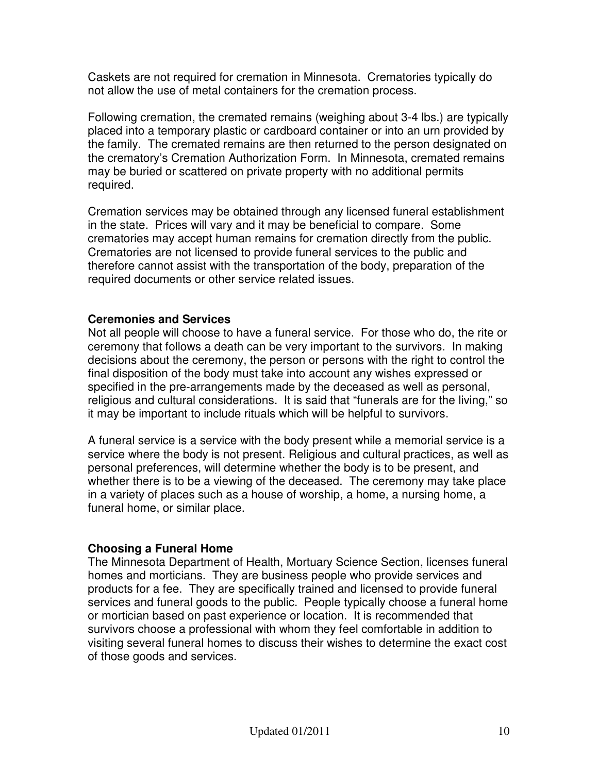Caskets are not required for cremation in Minnesota. Crematories typically do not allow the use of metal containers for the cremation process.

Following cremation, the cremated remains (weighing about 3-4 lbs.) are typically placed into a temporary plastic or cardboard container or into an urn provided by the family. The cremated remains are then returned to the person designated on the crematory's Cremation Authorization Form. In Minnesota, cremated remains may be buried or scattered on private property with no additional permits required.

Cremation services may be obtained through any licensed funeral establishment in the state. Prices will vary and it may be beneficial to compare. Some crematories may accept human remains for cremation directly from the public. Crematories are not licensed to provide funeral services to the public and therefore cannot assist with the transportation of the body, preparation of the required documents or other service related issues.

#### **Ceremonies and Services**

Not all people will choose to have a funeral service. For those who do, the rite or ceremony that follows a death can be very important to the survivors. In making decisions about the ceremony, the person or persons with the right to control the final disposition of the body must take into account any wishes expressed or specified in the pre-arrangements made by the deceased as well as personal, religious and cultural considerations. It is said that "funerals are for the living," so it may be important to include rituals which will be helpful to survivors.

A funeral service is a service with the body present while a memorial service is a service where the body is not present. Religious and cultural practices, as well as personal preferences, will determine whether the body is to be present, and whether there is to be a viewing of the deceased. The ceremony may take place in a variety of places such as a house of worship, a home, a nursing home, a funeral home, or similar place.

#### **Choosing a Funeral Home**

The Minnesota Department of Health, Mortuary Science Section, licenses funeral homes and morticians. They are business people who provide services and products for a fee. They are specifically trained and licensed to provide funeral services and funeral goods to the public. People typically choose a funeral home or mortician based on past experience or location. It is recommended that survivors choose a professional with whom they feel comfortable in addition to visiting several funeral homes to discuss their wishes to determine the exact cost of those goods and services.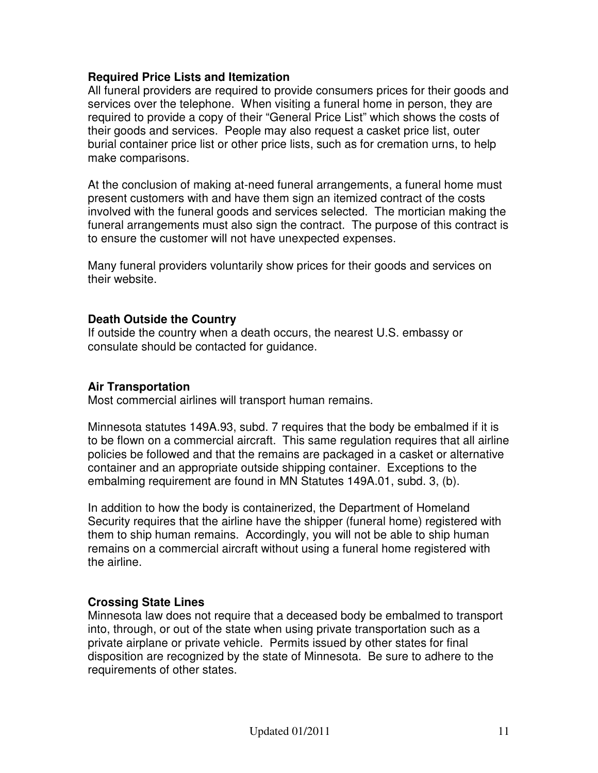#### **Required Price Lists and Itemization**

All funeral providers are required to provide consumers prices for their goods and services over the telephone. When visiting a funeral home in person, they are required to provide a copy of their "General Price List" which shows the costs of their goods and services. People may also request a casket price list, outer burial container price list or other price lists, such as for cremation urns, to help make comparisons.

At the conclusion of making at-need funeral arrangements, a funeral home must present customers with and have them sign an itemized contract of the costs involved with the funeral goods and services selected. The mortician making the funeral arrangements must also sign the contract. The purpose of this contract is to ensure the customer will not have unexpected expenses.

Many funeral providers voluntarily show prices for their goods and services on their website.

#### **Death Outside the Country**

If outside the country when a death occurs, the nearest U.S. embassy or consulate should be contacted for guidance.

#### **Air Transportation**

Most commercial airlines will transport human remains.

Minnesota statutes 149A.93, subd. 7 requires that the body be embalmed if it is to be flown on a commercial aircraft. This same regulation requires that all airline policies be followed and that the remains are packaged in a casket or alternative container and an appropriate outside shipping container. Exceptions to the embalming requirement are found in MN Statutes 149A.01, subd. 3, (b).

In addition to how the body is containerized, the Department of Homeland Security requires that the airline have the shipper (funeral home) registered with them to ship human remains. Accordingly, you will not be able to ship human remains on a commercial aircraft without using a funeral home registered with the airline.

#### **Crossing State Lines**

Minnesota law does not require that a deceased body be embalmed to transport into, through, or out of the state when using private transportation such as a private airplane or private vehicle. Permits issued by other states for final disposition are recognized by the state of Minnesota. Be sure to adhere to the requirements of other states.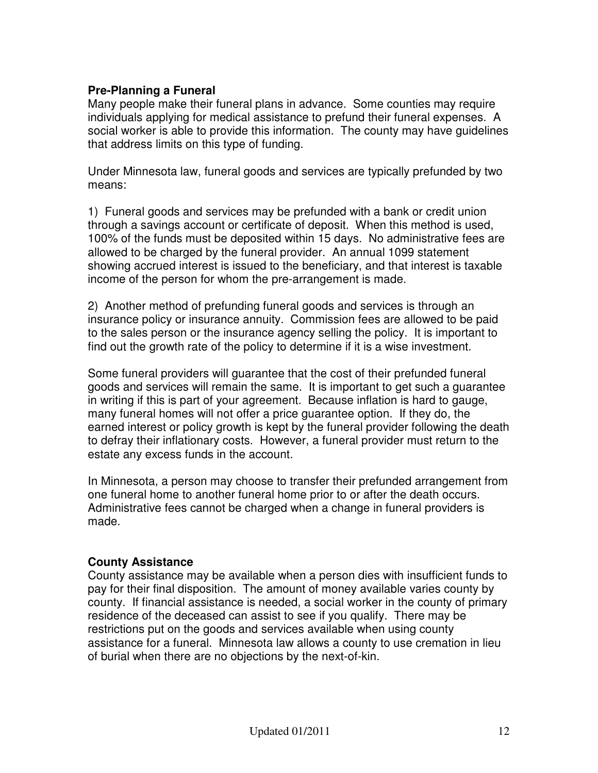#### **Pre-Planning a Funeral**

Many people make their funeral plans in advance. Some counties may require individuals applying for medical assistance to prefund their funeral expenses. A social worker is able to provide this information. The county may have guidelines that address limits on this type of funding.

Under Minnesota law, funeral goods and services are typically prefunded by two means:

1) Funeral goods and services may be prefunded with a bank or credit union through a savings account or certificate of deposit. When this method is used, 100% of the funds must be deposited within 15 days. No administrative fees are allowed to be charged by the funeral provider. An annual 1099 statement showing accrued interest is issued to the beneficiary, and that interest is taxable income of the person for whom the pre-arrangement is made.

2) Another method of prefunding funeral goods and services is through an insurance policy or insurance annuity. Commission fees are allowed to be paid to the sales person or the insurance agency selling the policy. It is important to find out the growth rate of the policy to determine if it is a wise investment.

Some funeral providers will guarantee that the cost of their prefunded funeral goods and services will remain the same. It is important to get such a guarantee in writing if this is part of your agreement. Because inflation is hard to gauge, many funeral homes will not offer a price guarantee option. If they do, the earned interest or policy growth is kept by the funeral provider following the death to defray their inflationary costs. However, a funeral provider must return to the estate any excess funds in the account.

In Minnesota, a person may choose to transfer their prefunded arrangement from one funeral home to another funeral home prior to or after the death occurs. Administrative fees cannot be charged when a change in funeral providers is made.

#### **County Assistance**

County assistance may be available when a person dies with insufficient funds to pay for their final disposition. The amount of money available varies county by county. If financial assistance is needed, a social worker in the county of primary residence of the deceased can assist to see if you qualify. There may be restrictions put on the goods and services available when using county assistance for a funeral. Minnesota law allows a county to use cremation in lieu of burial when there are no objections by the next-of-kin.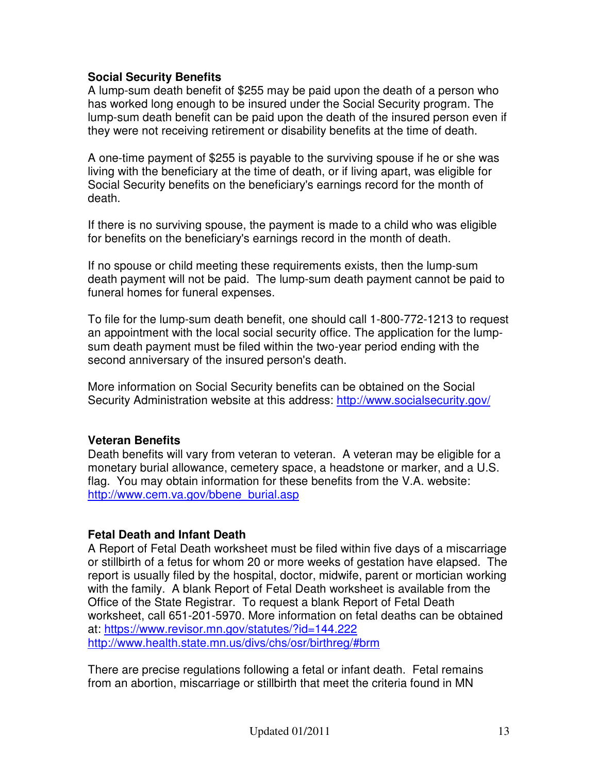#### **Social Security Benefits**

A lump-sum death benefit of \$255 may be paid upon the death of a person who has worked long enough to be insured under the Social Security program. The lump-sum death benefit can be paid upon the death of the insured person even if they were not receiving retirement or disability benefits at the time of death.

A one-time payment of \$255 is payable to the surviving spouse if he or she was living with the beneficiary at the time of death, or if living apart, was eligible for Social Security benefits on the beneficiary's earnings record for the month of death.

If there is no surviving spouse, the payment is made to a child who was eligible for benefits on the beneficiary's earnings record in the month of death.

If no spouse or child meeting these requirements exists, then the lump-sum death payment will not be paid. The lump-sum death payment cannot be paid to funeral homes for funeral expenses.

To file for the lump-sum death benefit, one should call 1-800-772-1213 to request an appointment with the local social security office. The application for the lumpsum death payment must be filed within the two-year period ending with the second anniversary of the insured person's death.

More information on Social Security benefits can be obtained on the Social Security Administration website at this address: http://www.socialsecurity.gov/

#### **Veteran Benefits**

Death benefits will vary from veteran to veteran. A veteran may be eligible for a monetary burial allowance, cemetery space, a headstone or marker, and a U.S. flag. You may obtain information for these benefits from the V.A. website: http://www.cem.va.gov/bbene\_burial.asp

#### **Fetal Death and Infant Death**

A Report of Fetal Death worksheet must be filed within five days of a miscarriage or stillbirth of a fetus for whom 20 or more weeks of gestation have elapsed. The report is usually filed by the hospital, doctor, midwife, parent or mortician working with the family. A blank Report of Fetal Death worksheet is available from the Office of the State Registrar. To request a blank Report of Fetal Death worksheet, call 651-201-5970. More information on fetal deaths can be obtained at: https://www.revisor.mn.gov/statutes/?id=144.222 http://www.health.state.mn.us/divs/chs/osr/birthreg/#brm

There are precise regulations following a fetal or infant death. Fetal remains from an abortion, miscarriage or stillbirth that meet the criteria found in MN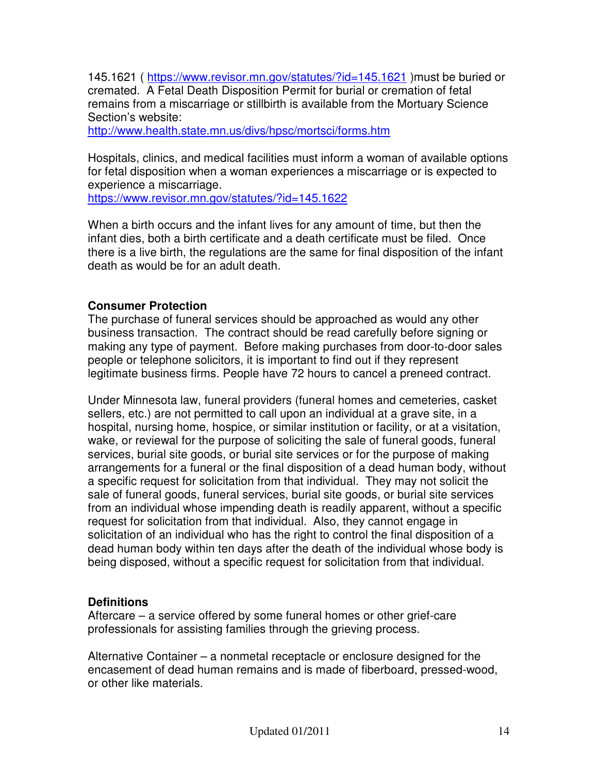145.1621 ( https://www.revisor.mn.gov/statutes/?id=145.1621 )must be buried or cremated. A Fetal Death Disposition Permit for burial or cremation of fetal remains from a miscarriage or stillbirth is available from the Mortuary Science Section's website:

http://www.health.state.mn.us/divs/hpsc/mortsci/forms.htm

Hospitals, clinics, and medical facilities must inform a woman of available options for fetal disposition when a woman experiences a miscarriage or is expected to experience a miscarriage.

https://www.revisor.mn.gov/statutes/?id=145.1622

When a birth occurs and the infant lives for any amount of time, but then the infant dies, both a birth certificate and a death certificate must be filed. Once there is a live birth, the regulations are the same for final disposition of the infant death as would be for an adult death.

#### **Consumer Protection**

The purchase of funeral services should be approached as would any other business transaction. The contract should be read carefully before signing or making any type of payment. Before making purchases from door-to-door sales people or telephone solicitors, it is important to find out if they represent legitimate business firms. People have 72 hours to cancel a preneed contract.

Under Minnesota law, funeral providers (funeral homes and cemeteries, casket sellers, etc.) are not permitted to call upon an individual at a grave site, in a hospital, nursing home, hospice, or similar institution or facility, or at a visitation, wake, or reviewal for the purpose of soliciting the sale of funeral goods, funeral services, burial site goods, or burial site services or for the purpose of making arrangements for a funeral or the final disposition of a dead human body, without a specific request for solicitation from that individual. They may not solicit the sale of funeral goods, funeral services, burial site goods, or burial site services from an individual whose impending death is readily apparent, without a specific request for solicitation from that individual. Also, they cannot engage in solicitation of an individual who has the right to control the final disposition of a dead human body within ten days after the death of the individual whose body is being disposed, without a specific request for solicitation from that individual.

#### **Definitions**

Aftercare – a service offered by some funeral homes or other grief-care professionals for assisting families through the grieving process.

Alternative Container – a nonmetal receptacle or enclosure designed for the encasement of dead human remains and is made of fiberboard, pressed-wood, or other like materials.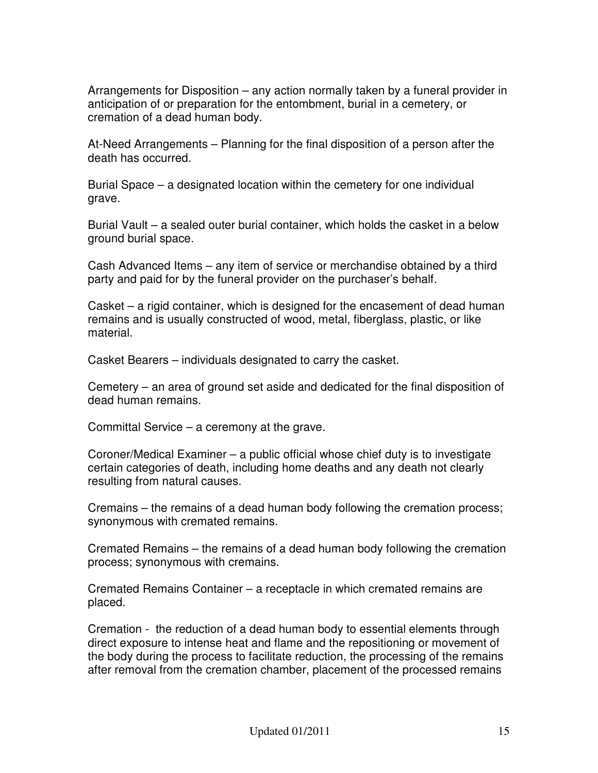Arrangements for Disposition – any action normally taken by a funeral provider in anticipation of or preparation for the entombment, burial in a cemetery, or cremation of a dead human body.

At-Need Arrangements – Planning for the final disposition of a person after the death has occurred.

Burial Space – a designated location within the cemetery for one individual grave.

Burial Vault – a sealed outer burial container, which holds the casket in a below ground burial space.

Cash Advanced Items – any item of service or merchandise obtained by a third party and paid for by the funeral provider on the purchaser's behalf.

Casket – a rigid container, which is designed for the encasement of dead human remains and is usually constructed of wood, metal, fiberglass, plastic, or like material.

Casket Bearers – individuals designated to carry the casket.

Cemetery – an area of ground set aside and dedicated for the final disposition of dead human remains.

Committal Service – a ceremony at the grave.

Coroner/Medical Examiner – a public official whose chief duty is to investigate certain categories of death, including home deaths and any death not clearly resulting from natural causes.

Cremains – the remains of a dead human body following the cremation process; synonymous with cremated remains.

Cremated Remains – the remains of a dead human body following the cremation process; synonymous with cremains.

Cremated Remains Container – a receptacle in which cremated remains are placed.

Cremation - the reduction of a dead human body to essential elements through direct exposure to intense heat and flame and the repositioning or movement of the body during the process to facilitate reduction, the processing of the remains after removal from the cremation chamber, placement of the processed remains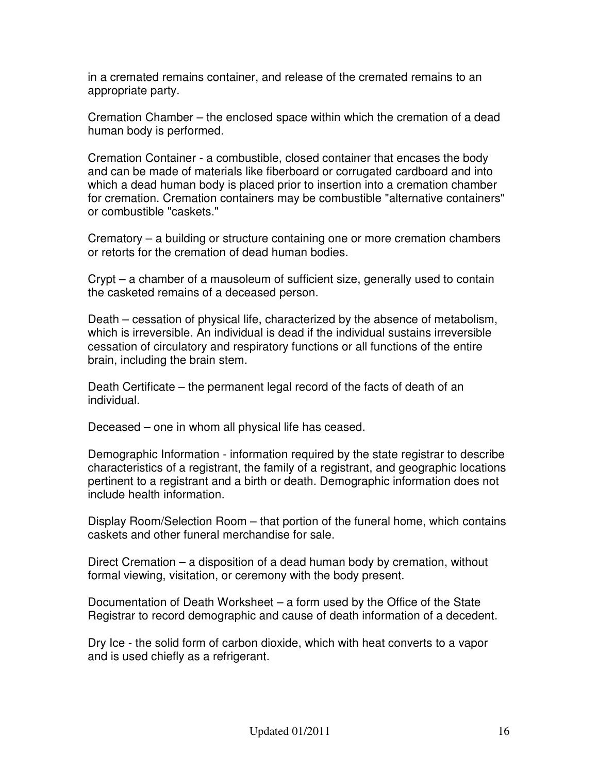in a cremated remains container, and release of the cremated remains to an appropriate party.

Cremation Chamber – the enclosed space within which the cremation of a dead human body is performed.

Cremation Container - a combustible, closed container that encases the body and can be made of materials like fiberboard or corrugated cardboard and into which a dead human body is placed prior to insertion into a cremation chamber for cremation. Cremation containers may be combustible "alternative containers" or combustible "caskets."

Crematory – a building or structure containing one or more cremation chambers or retorts for the cremation of dead human bodies.

Crypt – a chamber of a mausoleum of sufficient size, generally used to contain the casketed remains of a deceased person.

Death – cessation of physical life, characterized by the absence of metabolism, which is irreversible. An individual is dead if the individual sustains irreversible cessation of circulatory and respiratory functions or all functions of the entire brain, including the brain stem.

Death Certificate – the permanent legal record of the facts of death of an individual.

Deceased – one in whom all physical life has ceased.

Demographic Information - information required by the state registrar to describe characteristics of a registrant, the family of a registrant, and geographic locations pertinent to a registrant and a birth or death. Demographic information does not include health information.

Display Room/Selection Room – that portion of the funeral home, which contains caskets and other funeral merchandise for sale.

Direct Cremation – a disposition of a dead human body by cremation, without formal viewing, visitation, or ceremony with the body present.

Documentation of Death Worksheet – a form used by the Office of the State Registrar to record demographic and cause of death information of a decedent.

Dry Ice - the solid form of carbon dioxide, which with heat converts to a vapor and is used chiefly as a refrigerant.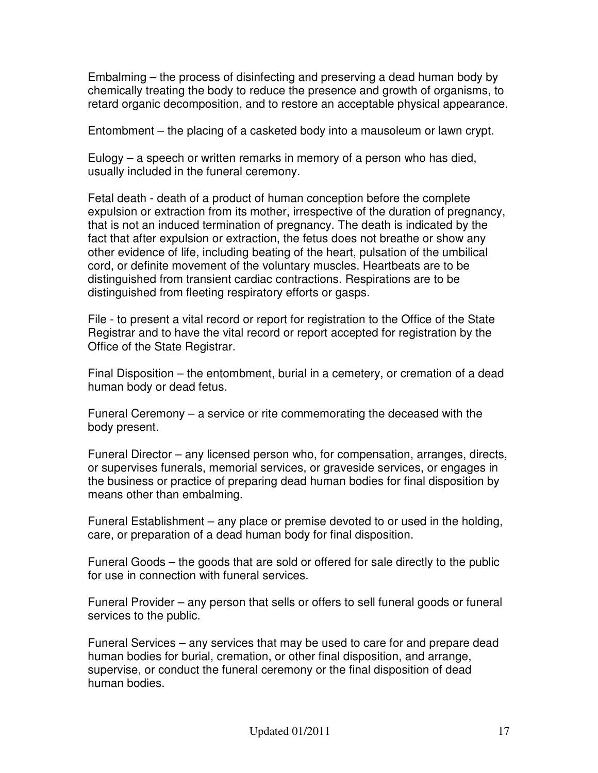Embalming – the process of disinfecting and preserving a dead human body by chemically treating the body to reduce the presence and growth of organisms, to retard organic decomposition, and to restore an acceptable physical appearance.

Entombment – the placing of a casketed body into a mausoleum or lawn crypt.

Eulogy – a speech or written remarks in memory of a person who has died, usually included in the funeral ceremony.

Fetal death - death of a product of human conception before the complete expulsion or extraction from its mother, irrespective of the duration of pregnancy, that is not an induced termination of pregnancy. The death is indicated by the fact that after expulsion or extraction, the fetus does not breathe or show any other evidence of life, including beating of the heart, pulsation of the umbilical cord, or definite movement of the voluntary muscles. Heartbeats are to be distinguished from transient cardiac contractions. Respirations are to be distinguished from fleeting respiratory efforts or gasps.

File - to present a vital record or report for registration to the Office of the State Registrar and to have the vital record or report accepted for registration by the Office of the State Registrar.

Final Disposition – the entombment, burial in a cemetery, or cremation of a dead human body or dead fetus.

Funeral Ceremony – a service or rite commemorating the deceased with the body present.

Funeral Director – any licensed person who, for compensation, arranges, directs, or supervises funerals, memorial services, or graveside services, or engages in the business or practice of preparing dead human bodies for final disposition by means other than embalming.

Funeral Establishment – any place or premise devoted to or used in the holding, care, or preparation of a dead human body for final disposition.

Funeral Goods – the goods that are sold or offered for sale directly to the public for use in connection with funeral services.

Funeral Provider – any person that sells or offers to sell funeral goods or funeral services to the public.

Funeral Services – any services that may be used to care for and prepare dead human bodies for burial, cremation, or other final disposition, and arrange, supervise, or conduct the funeral ceremony or the final disposition of dead human bodies.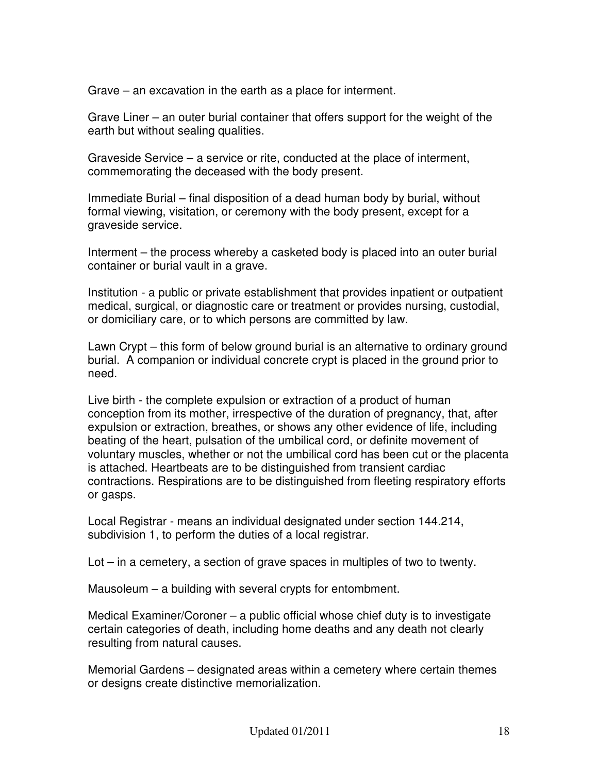Grave – an excavation in the earth as a place for interment.

Grave Liner – an outer burial container that offers support for the weight of the earth but without sealing qualities.

Graveside Service – a service or rite, conducted at the place of interment, commemorating the deceased with the body present.

Immediate Burial – final disposition of a dead human body by burial, without formal viewing, visitation, or ceremony with the body present, except for a graveside service.

Interment – the process whereby a casketed body is placed into an outer burial container or burial vault in a grave.

Institution - a public or private establishment that provides inpatient or outpatient medical, surgical, or diagnostic care or treatment or provides nursing, custodial, or domiciliary care, or to which persons are committed by law.

Lawn Crypt – this form of below ground burial is an alternative to ordinary ground burial. A companion or individual concrete crypt is placed in the ground prior to need.

Live birth - the complete expulsion or extraction of a product of human conception from its mother, irrespective of the duration of pregnancy, that, after expulsion or extraction, breathes, or shows any other evidence of life, including beating of the heart, pulsation of the umbilical cord, or definite movement of voluntary muscles, whether or not the umbilical cord has been cut or the placenta is attached. Heartbeats are to be distinguished from transient cardiac contractions. Respirations are to be distinguished from fleeting respiratory efforts or gasps.

Local Registrar - means an individual designated under section 144.214, subdivision 1, to perform the duties of a local registrar.

Lot – in a cemetery, a section of grave spaces in multiples of two to twenty.

Mausoleum – a building with several crypts for entombment.

Medical Examiner/Coroner – a public official whose chief duty is to investigate certain categories of death, including home deaths and any death not clearly resulting from natural causes.

Memorial Gardens – designated areas within a cemetery where certain themes or designs create distinctive memorialization.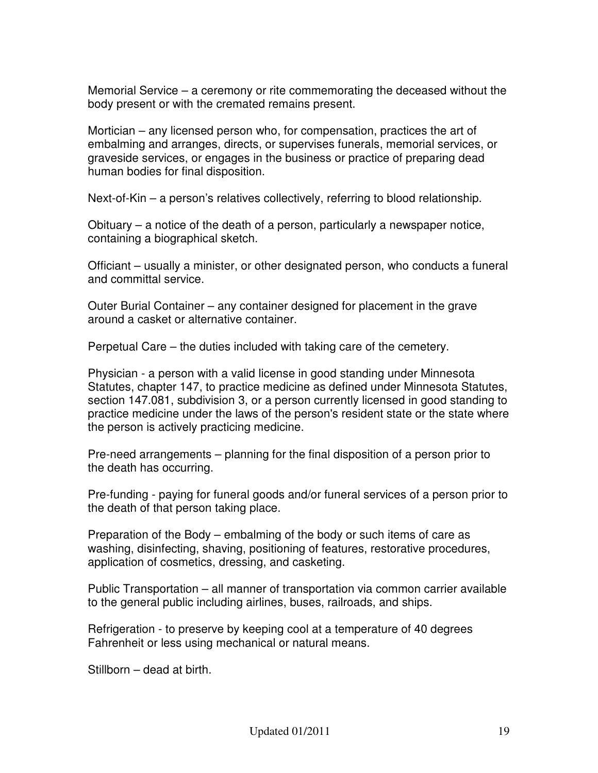Memorial Service – a ceremony or rite commemorating the deceased without the body present or with the cremated remains present.

Mortician – any licensed person who, for compensation, practices the art of embalming and arranges, directs, or supervises funerals, memorial services, or graveside services, or engages in the business or practice of preparing dead human bodies for final disposition.

Next-of-Kin – a person's relatives collectively, referring to blood relationship.

Obituary – a notice of the death of a person, particularly a newspaper notice, containing a biographical sketch.

Officiant – usually a minister, or other designated person, who conducts a funeral and committal service.

Outer Burial Container – any container designed for placement in the grave around a casket or alternative container.

Perpetual Care – the duties included with taking care of the cemetery.

Physician - a person with a valid license in good standing under Minnesota Statutes, chapter 147, to practice medicine as defined under Minnesota Statutes, section 147.081, subdivision 3, or a person currently licensed in good standing to practice medicine under the laws of the person's resident state or the state where the person is actively practicing medicine.

Pre-need arrangements – planning for the final disposition of a person prior to the death has occurring.

Pre-funding - paying for funeral goods and/or funeral services of a person prior to the death of that person taking place.

Preparation of the Body – embalming of the body or such items of care as washing, disinfecting, shaving, positioning of features, restorative procedures, application of cosmetics, dressing, and casketing.

Public Transportation – all manner of transportation via common carrier available to the general public including airlines, buses, railroads, and ships.

Refrigeration - to preserve by keeping cool at a temperature of 40 degrees Fahrenheit or less using mechanical or natural means.

Stillborn – dead at birth.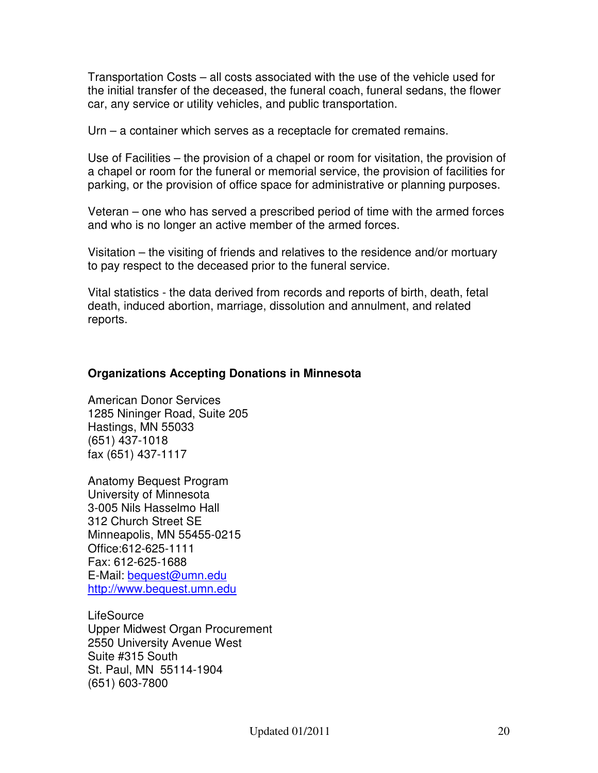Transportation Costs – all costs associated with the use of the vehicle used for the initial transfer of the deceased, the funeral coach, funeral sedans, the flower car, any service or utility vehicles, and public transportation.

Urn – a container which serves as a receptacle for cremated remains.

Use of Facilities – the provision of a chapel or room for visitation, the provision of a chapel or room for the funeral or memorial service, the provision of facilities for parking, or the provision of office space for administrative or planning purposes.

Veteran – one who has served a prescribed period of time with the armed forces and who is no longer an active member of the armed forces.

Visitation – the visiting of friends and relatives to the residence and/or mortuary to pay respect to the deceased prior to the funeral service.

Vital statistics - the data derived from records and reports of birth, death, fetal death, induced abortion, marriage, dissolution and annulment, and related reports.

## **Organizations Accepting Donations in Minnesota**

American Donor Services 1285 Nininger Road, Suite 205 Hastings, MN 55033 (651) 437-1018 fax (651) 437-1117

Anatomy Bequest Program University of Minnesota 3-005 Nils Hasselmo Hall 312 Church Street SE Minneapolis, MN 55455-0215 Office:612-625-1111 Fax: 612-625-1688 E-Mail: bequest@umn.edu http://www.bequest.umn.edu

LifeSource Upper Midwest Organ Procurement 2550 University Avenue West Suite #315 South St. Paul, MN 55114-1904 (651) 603-7800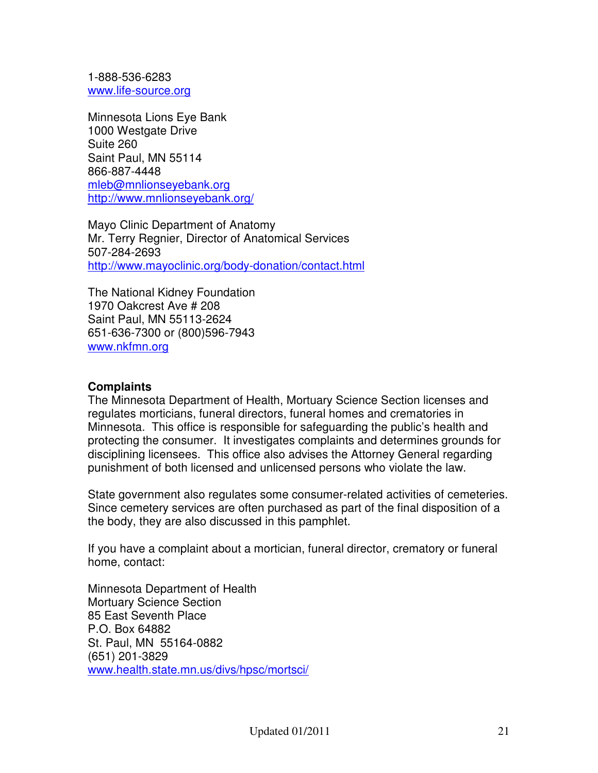1-888-536-6283 www.life-source.org

Minnesota Lions Eye Bank 1000 Westgate Drive Suite 260 Saint Paul, MN 55114 866-887-4448 mleb@mnlionseyebank.org http://www.mnlionseyebank.org/

Mayo Clinic Department of Anatomy Mr. Terry Regnier, Director of Anatomical Services 507-284-2693 http://www.mayoclinic.org/body-donation/contact.html

The National Kidney Foundation 1970 Oakcrest Ave # 208 Saint Paul, MN 55113-2624 651-636-7300 or (800)596-7943 www.nkfmn.org

#### **Complaints**

The Minnesota Department of Health, Mortuary Science Section licenses and regulates morticians, funeral directors, funeral homes and crematories in Minnesota. This office is responsible for safeguarding the public's health and protecting the consumer. It investigates complaints and determines grounds for disciplining licensees. This office also advises the Attorney General regarding punishment of both licensed and unlicensed persons who violate the law.

State government also regulates some consumer-related activities of cemeteries. Since cemetery services are often purchased as part of the final disposition of a the body, they are also discussed in this pamphlet.

If you have a complaint about a mortician, funeral director, crematory or funeral home, contact:

Minnesota Department of Health Mortuary Science Section 85 East Seventh Place P.O. Box 64882 St. Paul, MN 55164-0882 (651) 201-3829 www.health.state.mn.us/divs/hpsc/mortsci/